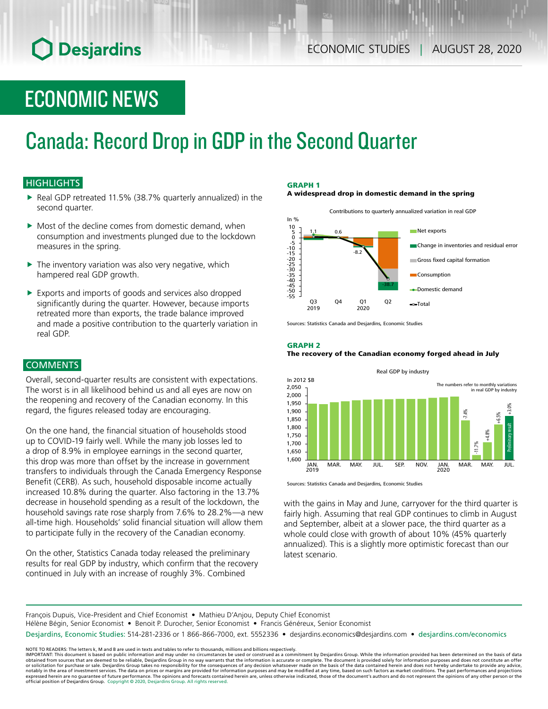## **O** Desjardins

### ECONOMIC NEWS

# Canada: Record Drop in GDP in the Second Quarter

### **HIGHLIGHTS**

- Real GDP retreated 11.5% (38.7% quarterly annualized) in the second quarter.
- $\blacktriangleright$  Most of the decline comes from domestic demand, when consumption and investments plunged due to the lockdown measures in the spring.
- $\blacktriangleright$  The inventory variation was also very negative, which hampered real GDP growth.
- $\blacktriangleright$  Exports and imports of goods and services also dropped significantly during the quarter. However, because imports retreated more than exports, the trade balance improved and made a positive contribution to the quarterly variation in real GDP.

#### **COMMENTS**

Overall, second-quarter results are consistent with expectations. The worst is in all likelihood behind us and all eyes are now on the reopening and recovery of the Canadian economy. In this regard, the figures released today are encouraging.

On the one hand, the financial situation of households stood up to COVID‑19 fairly well. While the many job losses led to a drop of 8.9% in employee earnings in the second quarter, this drop was more than offset by the increase in government transfers to individuals through the Canada Emergency Response Benefit (CERB). As such, household disposable income actually increased 10.8% during the quarter. Also factoring in the 13.7% decrease in household spending as a result of the lockdown, the household savings rate rose sharply from 7.6% to 28.2%—a new all-time high. Households' solid financial situation will allow them to participate fully in the recovery of the Canadian economy.

On the other, Statistics Canada today released the preliminary results for real GDP by industry, which confirm that the recovery continued in July with an increase of roughly 3%. Combined

#### GRAPH 1

A widespread drop in domestic demand in the spring



Sources: Statistics Canada and Desjardins, Economic Studies

#### GRAPH 2 The recovery of the Canadian economy forged ahead in July



Sources: Statistics Canada and Desjardins, Economic Studies

with the gains in May and June, carryover for the third quarter is fairly high. Assuming that real GDP continues to climb in August and September, albeit at a slower pace, the third quarter as a whole could close with growth of about 10% (45% quarterly annualized). This is a slightly more optimistic forecast than our latest scenario.

François Dupuis, Vice-President and Chief Economist • Mathieu D'Anjou, Deputy Chief Economist

Hélène Bégin, Senior Economist • Benoit P. Durocher, Senior Economist • Francis Généreux, Senior Economist

Desjardins, Economic Studies: 514-281-2336 or 1 866-866-7000, ext. 5552336 • desjardins.economics@desjardins.com • [desjardins.com/economics](http://desjardins.com/economics)

NOTE TO READERS: The letters k, M and B are used in texts and tables to refer to thousands, millions and billions respectively.<br>IMPORTANT: This document is based on public information and may under no circumstances be used obtained from sources that are deemed to be reliable, Desjardins Group in no way warrants that the information is accurate or complete. The document is provided solely for information purposes and does not constitute an of expressed herein are no guarantee of future performance. The opinions and forecasts contained herein are, unless otherwise indicated, those of the document's authors and do not represent the opinions of any other person or official position of Desjardins Group. Copyright © 2020, Desjardins Group. All rights reserved.